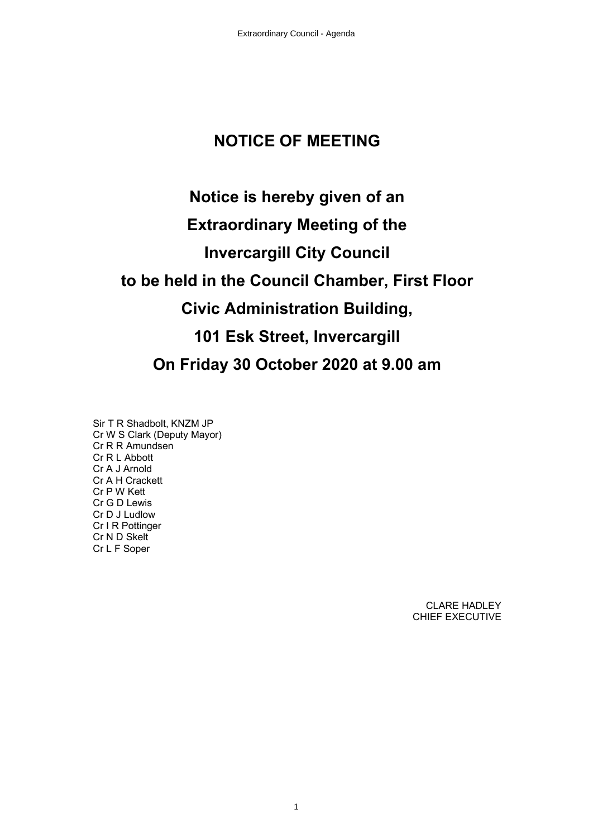# **NOTICE OF MEETING**

# **Notice is hereby given of an Extraordinary Meeting of the Invercargill City Council to be held in the Council Chamber, First Floor Civic Administration Building, 101 Esk Street, Invercargill On Friday 30 October 2020 at 9.00 am**

Sir T R Shadbolt, KNZM JP Cr W S Clark (Deputy Mayor) Cr R R Amundsen Cr R L Abbott Cr A J Arnold Cr A H Crackett Cr P W Kett Cr G D Lewis Cr D J Ludlow Cr I R Pottinger Cr N D Skelt Cr L F Soper

> CLARE HADLEY CHIEF EXECUTIVE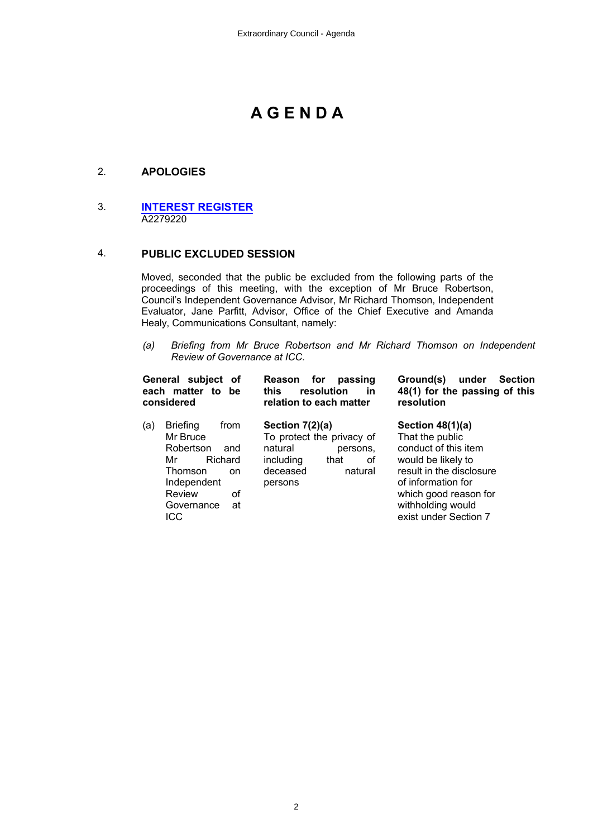# **A G E N D A**

# 2. **APOLOGIES**

#### 3. **[INTEREST REGISTER](#page-2-0)** A2279220

#### 4. **PUBLIC EXCLUDED SESSION**

Moved, seconded that the public be excluded from the following parts of the proceedings of this meeting, with the exception of Mr Bruce Robertson, Council's Independent Governance Advisor, Mr Richard Thomson, Independent Evaluator, Jane Parfitt, Advisor, Office of the Chief Executive and Amanda Healy, Communications Consultant, namely:

*(a) Briefing from Mr Bruce Robertson and Mr Richard Thomson on Independent Review of Governance at ICC.* 

| General subject<br>of<br>each matter to<br>be<br>considered                                                                                                 | for<br>passing<br>Reason<br>resolution<br>this<br>in<br>relation to each matter                                                    | Ground(s)<br>under<br><b>Section</b><br>48(1) for the passing of this<br>resolution                                                                                                                          |  |
|-------------------------------------------------------------------------------------------------------------------------------------------------------------|------------------------------------------------------------------------------------------------------------------------------------|--------------------------------------------------------------------------------------------------------------------------------------------------------------------------------------------------------------|--|
| <b>Briefing</b><br>from<br>(a)<br>Mr Bruce<br>Robertson<br>and<br>Richard<br>Mr<br>Thomson<br>on.<br>Independent<br>οf<br>Review<br>Governance<br>at<br>ICC | Section $7(2)(a)$<br>To protect the privacy of<br>natural<br>persons.<br>including<br>οf<br>that<br>deceased<br>natural<br>persons | Section $48(1)(a)$<br>That the public<br>conduct of this item<br>would be likely to<br>result in the disclosure<br>of information for<br>which good reason for<br>withholding would<br>exist under Section 7 |  |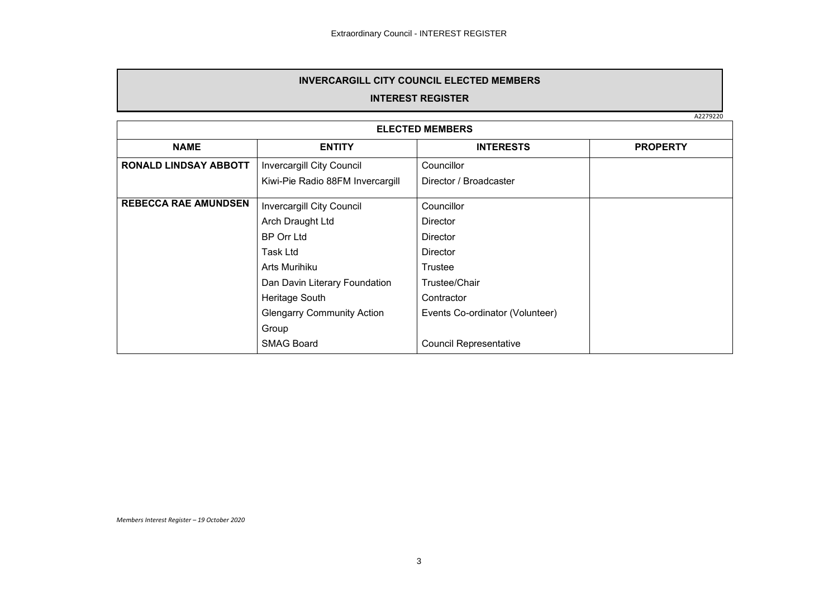#### **INVERCARGILL CITY COUNCIL ELECTED MEMBERS**

## **INTEREST REGISTER**

A2279220

<span id="page-2-0"></span>

| <b>ELECTED MEMBERS</b>       |                                   |                                 |                 |  |
|------------------------------|-----------------------------------|---------------------------------|-----------------|--|
| <b>NAME</b>                  | <b>ENTITY</b>                     | <b>INTERESTS</b>                | <b>PROPERTY</b> |  |
| <b>RONALD LINDSAY ABBOTT</b> | Invercargill City Council         | Councillor                      |                 |  |
|                              | Kiwi-Pie Radio 88FM Invercargill  | Director / Broadcaster          |                 |  |
| <b>REBECCA RAE AMUNDSEN</b>  | <b>Invercargill City Council</b>  | Councillor                      |                 |  |
|                              | Arch Draught Ltd                  | <b>Director</b>                 |                 |  |
|                              | <b>BP Orr Ltd</b>                 | <b>Director</b>                 |                 |  |
|                              | Task Ltd                          | <b>Director</b>                 |                 |  |
|                              | Arts Murihiku                     | Trustee                         |                 |  |
|                              | Dan Davin Literary Foundation     | Trustee/Chair                   |                 |  |
|                              | Heritage South                    | Contractor                      |                 |  |
|                              | <b>Glengarry Community Action</b> | Events Co-ordinator (Volunteer) |                 |  |
|                              | Group                             |                                 |                 |  |
|                              | <b>SMAG Board</b>                 | <b>Council Representative</b>   |                 |  |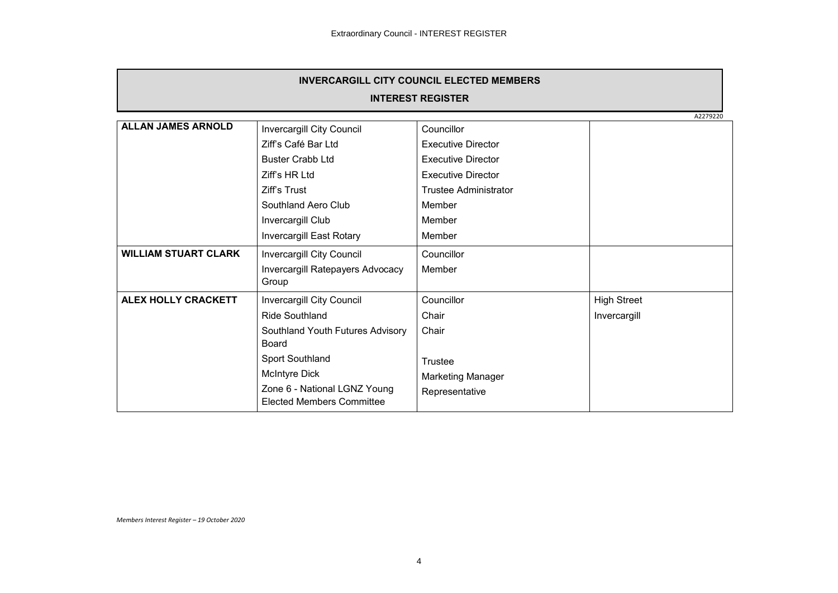| <b>INVERCARGILL CITY COUNCIL ELECTED MEMBERS</b> |                                                                  |                              |                    |  |  |
|--------------------------------------------------|------------------------------------------------------------------|------------------------------|--------------------|--|--|
| <b>INTEREST REGISTER</b>                         |                                                                  |                              |                    |  |  |
|                                                  | A2279220                                                         |                              |                    |  |  |
| <b>ALLAN JAMES ARNOLD</b>                        | Invercargill City Council                                        | Councillor                   |                    |  |  |
|                                                  | Ziff's Café Bar Ltd                                              | <b>Executive Director</b>    |                    |  |  |
|                                                  | <b>Buster Crabb Ltd</b>                                          | <b>Executive Director</b>    |                    |  |  |
|                                                  | Ziff's HR Ltd                                                    | <b>Executive Director</b>    |                    |  |  |
|                                                  | Ziff's Trust                                                     | <b>Trustee Administrator</b> |                    |  |  |
|                                                  | Southland Aero Club                                              | Member                       |                    |  |  |
|                                                  | Invercargill Club                                                | Member                       |                    |  |  |
|                                                  | Invercargill East Rotary                                         | Member                       |                    |  |  |
| <b>WILLIAM STUART CLARK</b>                      | Invercargill City Council                                        | Councillor                   |                    |  |  |
|                                                  | Invercargill Ratepayers Advocacy<br>Group                        | Member                       |                    |  |  |
| <b>ALEX HOLLY CRACKETT</b>                       | Invercargill City Council                                        | Councillor                   | <b>High Street</b> |  |  |
|                                                  | <b>Ride Southland</b>                                            | Chair                        | Invercargill       |  |  |
|                                                  | Southland Youth Futures Advisory<br><b>Board</b>                 | Chair                        |                    |  |  |
|                                                  | Sport Southland                                                  | Trustee                      |                    |  |  |
|                                                  | McIntyre Dick                                                    | Marketing Manager            |                    |  |  |
|                                                  | Zone 6 - National LGNZ Young<br><b>Elected Members Committee</b> | Representative               |                    |  |  |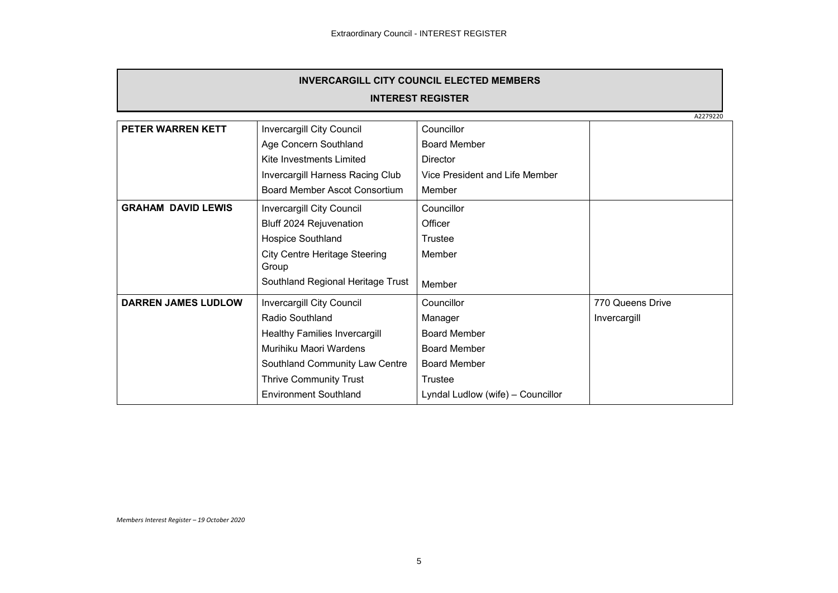| <b>INVERCARGILL CITY COUNCIL ELECTED MEMBERS</b><br><b>INTEREST REGISTER</b> |                                      |                                   |                  |
|------------------------------------------------------------------------------|--------------------------------------|-----------------------------------|------------------|
|                                                                              |                                      |                                   |                  |
| <b>PETER WARREN KETT</b>                                                     | Invercargill City Council            | Councillor                        |                  |
|                                                                              | Age Concern Southland                | <b>Board Member</b>               |                  |
|                                                                              | Kite Investments Limited             | <b>Director</b>                   |                  |
|                                                                              | Invercargill Harness Racing Club     | Vice President and Life Member    |                  |
|                                                                              | Board Member Ascot Consortium        | Member                            |                  |
| <b>GRAHAM DAVID LEWIS</b>                                                    | Invercargill City Council            | Councillor                        |                  |
|                                                                              | Bluff 2024 Rejuvenation              | Officer                           |                  |
|                                                                              | Hospice Southland                    | Trustee                           |                  |
|                                                                              | <b>City Centre Heritage Steering</b> | Member                            |                  |
|                                                                              | Group                                |                                   |                  |
|                                                                              | Southland Regional Heritage Trust    | Member                            |                  |
| <b>DARREN JAMES LUDLOW</b>                                                   | Invercargill City Council            | Councillor                        | 770 Queens Drive |
|                                                                              | Radio Southland                      | Manager                           | Invercargill     |
|                                                                              | <b>Healthy Families Invercargill</b> | <b>Board Member</b>               |                  |
|                                                                              | Murihiku Maori Wardens               | <b>Board Member</b>               |                  |
|                                                                              | Southland Community Law Centre       | <b>Board Member</b>               |                  |
|                                                                              | <b>Thrive Community Trust</b>        | Trustee                           |                  |
|                                                                              | <b>Environment Southland</b>         | Lyndal Ludlow (wife) - Councillor |                  |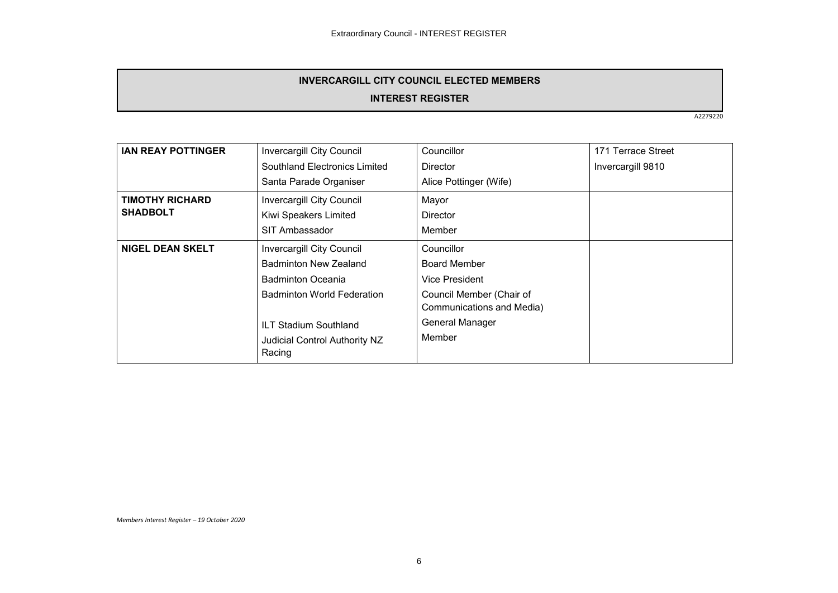# **INVERCARGILL CITY COUNCIL ELECTED MEMBERS**

## **INTEREST REGISTER**

A2279220

| Invercargill City Council         | Councillor                | 171 Terrace Street |
|-----------------------------------|---------------------------|--------------------|
| Southland Electronics Limited     | Director                  | Invercargill 9810  |
| Santa Parade Organiser            | Alice Pottinger (Wife)    |                    |
| <b>Invercargill City Council</b>  | Mayor                     |                    |
| Kiwi Speakers Limited             | <b>Director</b>           |                    |
| SIT Ambassador                    | Member                    |                    |
| <b>Invercargill City Council</b>  | Councillor                |                    |
| <b>Badminton New Zealand</b>      | <b>Board Member</b>       |                    |
| <b>Badminton Oceania</b>          | Vice President            |                    |
| <b>Badminton World Federation</b> | Council Member (Chair of  |                    |
|                                   | Communications and Media) |                    |
| <b>ILT Stadium Southland</b>      | General Manager           |                    |
| Judicial Control Authority NZ     | Member                    |                    |
| Racing                            |                           |                    |
|                                   |                           |                    |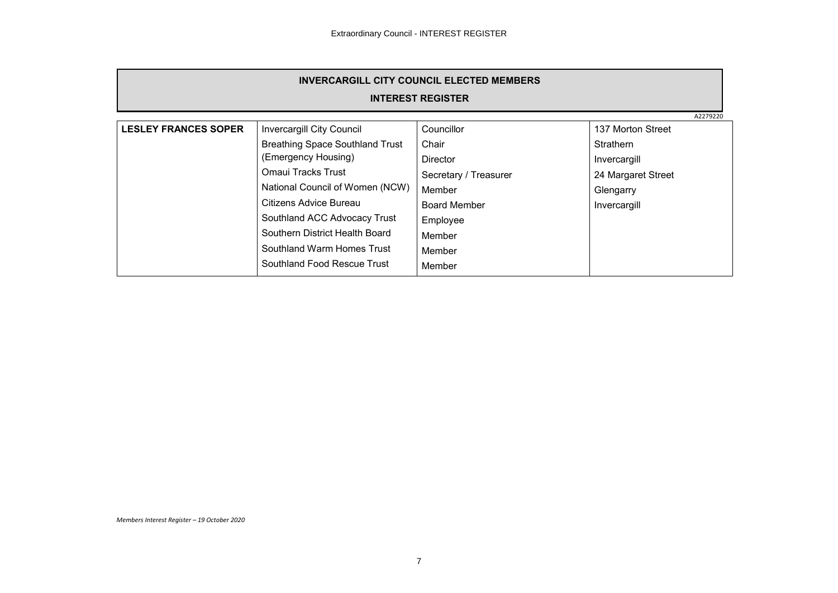| <b>INVERCARGILL CITY COUNCIL ELECTED MEMBERS</b> |                                        |                       |                    |  |
|--------------------------------------------------|----------------------------------------|-----------------------|--------------------|--|
| <b>INTEREST REGISTER</b>                         |                                        |                       |                    |  |
| A2279220                                         |                                        |                       |                    |  |
| <b>LESLEY FRANCES SOPER</b>                      | <b>Invercargill City Council</b>       | Councillor            | 137 Morton Street  |  |
|                                                  | <b>Breathing Space Southland Trust</b> | Chair                 | <b>Strathern</b>   |  |
|                                                  | (Emergency Housing)                    | <b>Director</b>       | Invercargill       |  |
|                                                  | Omaui Tracks Trust                     | Secretary / Treasurer | 24 Margaret Street |  |
|                                                  | National Council of Women (NCW)        | Member                | Glengarry          |  |
|                                                  | Citizens Advice Bureau                 | <b>Board Member</b>   | Invercargill       |  |
|                                                  | Southland ACC Advocacy Trust           | Employee              |                    |  |
|                                                  | Southern District Health Board         | Member                |                    |  |
|                                                  | Southland Warm Homes Trust             | Member                |                    |  |
|                                                  | Southland Food Rescue Trust            | Member                |                    |  |